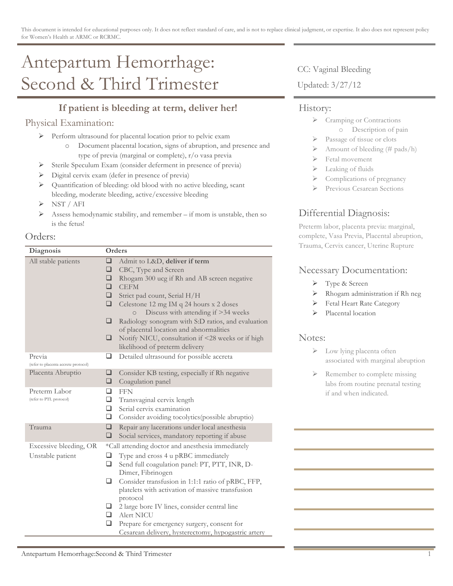# Antepartum Hemorrhage: Second & Third Trimester

# **If patient is bleeding at term, deliver her!**

## Physical Examination:

- ! Perform ultrasound for placental location prior to pelvic exam
	- o Document placental location, signs of abruption, and presence and type of previa (marginal or complete), r/o vasa previa
- ! Sterile Speculum Exam (consider deferment in presence of previa)
- ! Digital cervix exam (defer in presence of previa)
- ! Quantification of bleeding: old blood with no active bleeding, scant bleeding, moderate bleeding, active/excessive bleeding
- $\triangleright$  NST / AFI
- $\triangleright$  Assess hemodynamic stability, and remember if mom is unstable, then so is the fetus!

#### Orders:

| Diagnosis                                      | Orders                                            |                                                                                                                                                                                                                                                                                                                                                                                                                                          |
|------------------------------------------------|---------------------------------------------------|------------------------------------------------------------------------------------------------------------------------------------------------------------------------------------------------------------------------------------------------------------------------------------------------------------------------------------------------------------------------------------------------------------------------------------------|
| All stable patients                            | $\Box$<br>❏<br>❏<br>□<br>❏<br>❏<br>❏<br>❏         | Admit to L&D, deliver if term<br>CBC, Type and Screen<br>Rhogam 300 ucg if Rh and AB screen negative<br><b>CEFM</b><br>Strict pad count, Serial H/H<br>Celestone 12 mg IM q 24 hours x 2 doses<br>Discuss with attending if >34 weeks<br>$\circ$<br>Radiology sonogram with S:D ratios, and evaluation<br>of placental location and abnormalities<br>Notify NICU, consultation if <28 weeks or if high<br>likelihood of preterm delivery |
| Previa<br>(refer to placenta accrete protocol) | ❏                                                 | Detailed ultrasound for possible accreta                                                                                                                                                                                                                                                                                                                                                                                                 |
| Placenta Abruptio                              | ❏<br>❏                                            | Consider KB testing, especially if Rh negative<br>Coagulation panel                                                                                                                                                                                                                                                                                                                                                                      |
| Preterm Labor<br>(refer to PTL protocol)       | ◻<br>❏<br>❏<br>$\Box$                             | <b>FFN</b><br>Transvaginal cervix length<br>Serial cervix examination<br>Consider avoiding tocolytics (possible abruptio)                                                                                                                                                                                                                                                                                                                |
| Trauma                                         | ❏<br>❏                                            | Repair any lacerations under local anesthesia<br>Social services, mandatory reporting if abuse                                                                                                                                                                                                                                                                                                                                           |
| Excessive bleeding, OR                         | *Call attending doctor and anesthesia immediately |                                                                                                                                                                                                                                                                                                                                                                                                                                          |
| Unstable patient                               | ❏<br>❏<br>❏                                       | Type and cross 4 u pRBC immediately<br>Send full coagulation panel: PT, PTT, INR, D-<br>Dimer, Fibrinogen<br>Consider transfusion in 1:1:1 ratio of pRBC, FFP,<br>platelets with activation of massive transfusion                                                                                                                                                                                                                       |
|                                                | ⊔<br>❏<br>❏                                       | protocol<br>2 large bore IV lines, consider central line<br>Alert NICU<br>Prepare for emergency surgery, consent for<br>Cesarean delivery, hysterectomy, hypogastric artery                                                                                                                                                                                                                                                              |

CC: Vaginal Bleeding

Updated: 3/27/12

#### History:

- > Cramping or Contractions o Description of pain
- Passage of tissue or clots
- $\triangleright$  Amount of bleeding (# pads/h)
- Fetal movement
- $\blacktriangleright$  Leaking of fluids
- Complications of pregnancy
- Previous Cesarean Sections

## Differential Diagnosis:

Preterm labor, placenta previa: marginal, complete, Vasa Previa, Placental abruption, Trauma, Cervix cancer, Uterine Rupture

### Necessary Documentation:

- ! Type & Screen
- > Rhogam administration if Rh neg
- ! Fetal Heart Rate Category
- Placental location

#### Notes:

- > Low lying placenta often associated with marginal abruption
- $\triangleright$  Remember to complete missing labs from routine prenatal testing if and when indicated.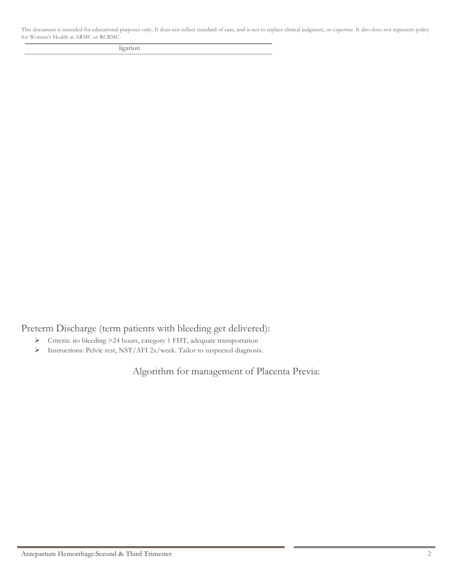This document is intended for educational purposes only. It does not reflect standard of care, and is not to replace clinical judgment, or expertise. It also does not represent policy for Women's Health at ARMC or RCRMC.

ligation

Preterm Discharge (term patients with bleeding get delivered):

- ! Criteria: no bleeding >24 hours, category 1 FHT, adequate transportation
- ! Instructions: Pelvic rest, NST/AFI 2x/week. Tailor to suspected diagnosis.

Algorithm for management of Placenta Previa: